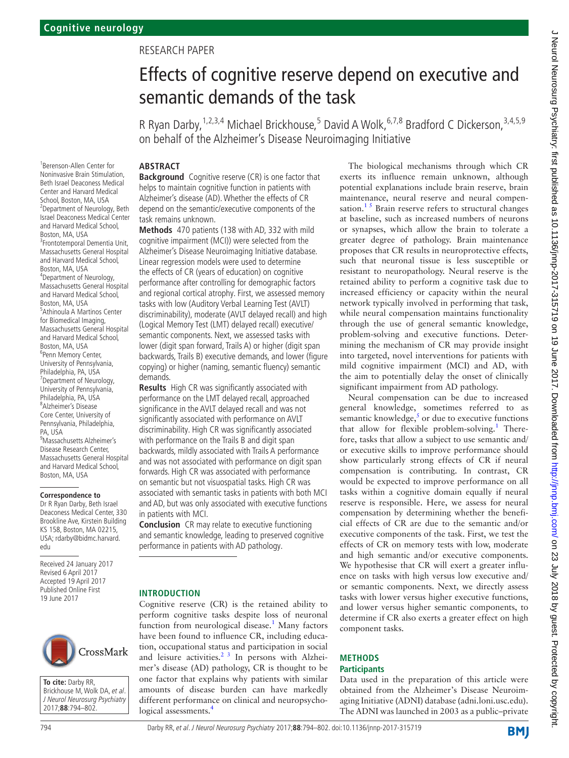1 Berenson-Allen Center for Noninvasive Brain Stimulation, Beth Israel Deaconess Medical Center and Harvard Medical School, Boston, MA, USA <sup>2</sup> <sup>2</sup>Department of Neurology, Beth Israel Deaconess Medical Center and Harvard Medical School, Boston, MA, USA <sup>3</sup>

<sup>3</sup> Frontotemporal Dementia Unit, Massachusetts General Hospital and Harvard Medical School, Boston, MA. USA <sup>4</sup>Department of Neurology. Massachusetts General Hospital and Harvard Medical School, Boston, MA, USA  $5$ Athinoula A Martinos Center for Biomedical Imaging, Massachusetts General Hospital and Harvard Medical School, Boston, MA, USA <sup>6</sup> <sup>6</sup>Penn Memory Center, University of Pennsylvania, Philadelphia, PA, USA <sup>7</sup>Department of Neurology, University of Pennsylvania, Philadelphia, PA, USA <sup>8</sup> Alzheimer's Disease Core Center, University of Pennsylvania, Philadelphia,

## Research paper

# Effects of cognitive reserve depend on executive and semantic demands of the task

R Ryan Darby, <sup>1,2,3,4</sup> Michael Brickhouse, 5 David A Wolk, <sup>6,7,8</sup> Bradford C Dickerson, <sup>3,4,5,9</sup> on behalf of the Alzheimer's Disease Neuroimaging Initiative

#### **Abstract**

**Background** Cognitive reserve (CR) is one factor that helps to maintain cognitive function in patients with Alzheimer's disease (AD). Whether the effects of CR depend on the semantic/executive components of the task remains unknown.

**Methods** 470 patients (138 with AD, 332 with mild cognitive impairment (MCI)) were selected from the Alzheimer's Disease Neuroimaging Initiative database. Linear regression models were used to determine the effects of CR (years of education) on cognitive performance after controlling for demographic factors and regional cortical atrophy. First, we assessed memory tasks with low (Auditory Verbal Learning Test (AVLT) discriminability), moderate (AVLT delayed recall) and high (Logical Memory Test (LMT) delayed recall) executive/ semantic components. Next, we assessed tasks with lower (digit span forward, Trails A) or higher (digit span backwards, Trails B) executive demands, and lower (figure copying) or higher (naming, semantic fluency) semantic demands.

**Results** High CR was significantly associated with performance on the LMT delayed recall, approached significance in the AVLT delayed recall and was not significantly associated with performance on AVLT discriminability. High CR was significantly associated with performance on the Trails B and digit span backwards, mildly associated with Trails A performance and was not associated with performance on digit span forwards. High CR was associated with performance on semantic but not visuospatial tasks. High CR was associated with semantic tasks in patients with both MCI and AD, but was only associated with executive functions in patients with MCI.

**Conclusion** CR may relate to executive functioning and semantic knowledge, leading to preserved cognitive performance in patients with AD pathology.

#### **Introduction**

Cognitive reserve (CR) is the retained ability to perform cognitive tasks despite loss of neuronal function from neurological disease.<sup>1</sup> Many factors have been found to influence CR, including education, occupational status and participation in social and leisure activities.<sup>2 3</sup> In persons with Alzheimer's disease (AD) pathology, CR is thought to be one factor that explains why patients with similar amounts of disease burden can have markedly different performance on clinical and neuropsycho-logical assessments.<sup>[4](#page-7-2)</sup>

The biological mechanisms through which CR exerts its influence remain unknown, although potential explanations include brain reserve, brain maintenance, neural reserve and neural compensation.<sup>15</sup> Brain reserve refers to structural changes at baseline, such as increased numbers of neurons or synapses, which allow the brain to tolerate a greater degree of pathology. Brain maintenance proposes that CR results in neuroprotective effects, such that neuronal tissue is less susceptible or resistant to neuropathology. Neural reserve is the retained ability to perform a cognitive task due to increased efficiency or capacity within the neural network typically involved in performing that task, while neural compensation maintains functionality through the use of general semantic knowledge, problem-solving and executive functions. Determining the mechanism of CR may provide insight into targeted, novel interventions for patients with mild cognitive impairment (MCI) and AD, with the aim to potentially delay the onset of clinically significant impairment from AD pathology.

Neural compensation can be due to increased general knowledge, sometimes referred to as semantic knowledge, $\frac{5}{3}$  or due to executive functions that allow for flexible problem-solving.<sup>[1](#page-7-0)</sup> Therefore, tasks that allow a subject to use semantic and/ or executive skills to improve performance should show particularly strong effects of CR if neural compensation is contributing. In contrast, CR would be expected to improve performance on all tasks within a cognitive domain equally if neural reserve is responsible. Here, we assess for neural compensation by determining whether the beneficial effects of CR are due to the semantic and/or executive components of the task. First, we test the effects of CR on memory tests with low, moderate and high semantic and/or executive components. We hypothesise that CR will exert a greater influence on tasks with high versus low executive and/ or semantic components. Next, we directly assess tasks with lower versus higher executive functions, and lower versus higher semantic components, to determine if CR also exerts a greater effect on high component tasks.

#### **Methods Participants**

Data used in the preparation of this article were obtained from the Alzheimer's Disease Neuroimaging Initiative (ADNI) database (adni.loni.usc.edu). The ADNI was launched in 2003 as a public–private

CrossMark



PA, USA

edu

<sup>9</sup>Massachusetts Alzheimer's Disease Research Center, Massachusetts General Hospital and Harvard Medical School, Boston, MA, USA

**Correspondence to** Dr R Ryan Darby, Beth Israel Deaconess Medical Center, 330 Brookline Ave, Kirstein Building KS 158, Boston, MA 02215, USA; rdarby@bidmc.harvard.

Received 24 January 2017 Revised 6 April 2017 Accepted 19 April 2017 Published Online First 19 June 2017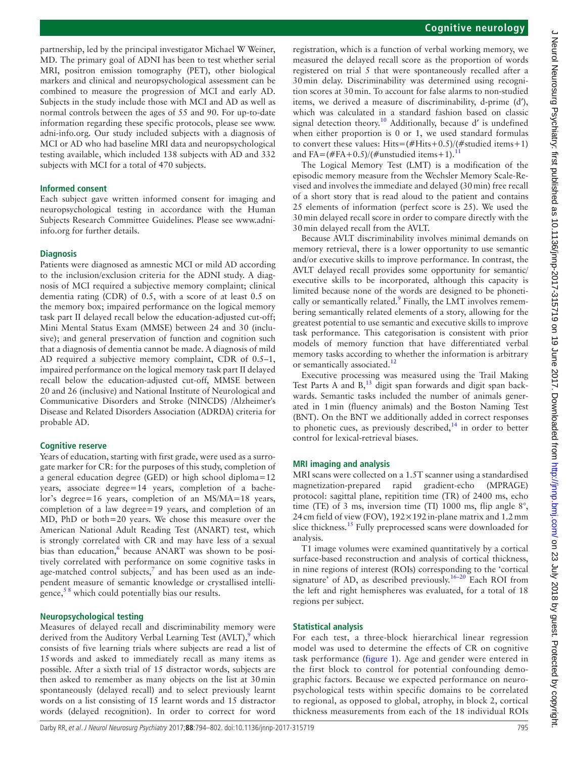partnership, led by the principal investigator Michael W Weiner, MD. The primary goal of ADNI has been to test whether serial MRI, positron emission tomography (PET), other biological markers and clinical and neuropsychological assessment can be combined to measure the progression of MCI and early AD. Subjects in the study include those with MCI and AD as well as normal controls between the ages of 55 and 90. For up-to-date information regarding these specific protocols, please see [www.](https://www.adni-info.org.) [adni-info.org.](https://www.adni-info.org.) Our study included subjects with a diagnosis of MCI or AD who had baseline MRI data and neuropsychological testing available, which included 138 subjects with AD and 332 subjects with MCI for a total of 470 subjects.

## **Informed consent**

Each subject gave written informed consent for imaging and neuropsychological testing in accordance with the Human Subjects Research Committee Guidelines. Please see [www.adni](http://www.adni-info.org)[info.org](http://www.adni-info.org) for further details.

## **Diagnosis**

Patients were diagnosed as amnestic MCI or mild AD according to the inclusion/exclusion criteria for the ADNI study. A diagnosis of MCI required a subjective memory complaint; clinical dementia rating (CDR) of 0.5, with a score of at least 0.5 on the memory box; impaired performance on the logical memory task part II delayed recall below the education-adjusted cut-off; Mini Mental Status Exam (MMSE) between 24 and 30 (inclusive); and general preservation of function and cognition such that a diagnosis of dementia cannot be made. A diagnosis of mild AD required a subjective memory complaint, CDR of 0.5–1, impaired performance on the logical memory task part II delayed recall below the education-adjusted cut-off, MMSE between 20 and 26 (inclusive) and National Institute of Neurological and Communicative Disorders and Stroke (NINCDS) /Alzheimer's Disease and Related Disorders Association (ADRDA) criteria for probable AD.

## **Cognitive reserve**

Years of education, starting with first grade, were used as a surrogate marker for CR: for the purposes of this study, completion of a general education degree (GED) or high school diploma=12 years, associate degree=14 years, completion of a bachelor's degree=16 years, completion of an MS/MA=18 years, completion of a law degree=19 years, and completion of an MD, PhD or both=20 years. We chose this measure over the American National Adult Reading Test (ANART) test, which is strongly correlated with CR and may have less of a sexual bias than education,<sup>6</sup> because ANART was shown to be positively correlated with performance on some cognitive tasks in age-matched control subjects,<sup>[7](#page-7-5)</sup> and has been used as an independent measure of semantic knowledge or crystallised intelligence,  $58$  which could potentially bias our results.

## **Neuropsychological testing**

Measures of delayed recall and discriminability memory were derived from the Auditory Verbal Learning Test (AVLT),<sup>9</sup> which consists of five learning trials where subjects are read a list of 15words and asked to immediately recall as many items as possible. After a sixth trial of 15 distractor words, subjects are then asked to remember as many objects on the list at 30min spontaneously (delayed recall) and to select previously learnt words on a list consisting of 15 learnt words and 15 distractor words (delayed recognition). In order to correct for word

registration, which is a function of verbal working memory, we measured the delayed recall score as the proportion of words registered on trial 5 that were spontaneously recalled after a 30min delay. Discriminability was determined using recognition scores at 30min. To account for false alarms to non-studied items, we derived a measure of discriminability, d-prime (d′), which was calculated in a standard fashion based on classic signal detection theory.<sup>10</sup> Additionally, because  $d'$  is undefined when either proportion is 0 or 1, we used standard formulas to convert these values:  $Hits = (\#Hist + 0.5)/(\#studied items + 1)$ and FA= $(\text{\#FA}+0.5)/(\text{\#unstudied items}+1).^{11}$  $(\text{\#FA}+0.5)/(\text{\#unstudied items}+1).^{11}$  $(\text{\#FA}+0.5)/(\text{\#unstudied items}+1).^{11}$ 

The Logical Memory Test (LMT) is a modification of the episodic memory measure from the Wechsler Memory Scale-Revised and involves the immediate and delayed (30min) free recall of a short story that is read aloud to the patient and contains 25 elements of information (perfect score is 25). We used the 30min delayed recall score in order to compare directly with the 30min delayed recall from the AVLT.

Because AVLT discriminability involves minimal demands on memory retrieval, there is a lower opportunity to use semantic and/or executive skills to improve performance. In contrast, the AVLT delayed recall provides some opportunity for semantic/ executive skills to be incorporated, although this capacity is limited because none of the words are designed to be phoneti-cally or semantically related.<sup>[9](#page-8-0)</sup> Finally, the LMT involves remembering semantically related elements of a story, allowing for the greatest potential to use semantic and executive skills to improve task performance. This categorisation is consistent with prior models of memory function that have differentiated verbal memory tasks according to whether the information is arbitrary or semantically associated.<sup>[12](#page-8-3)</sup>

Executive processing was measured using the Trail Making Test Parts A and  $B$ <sup>13</sup> digit span forwards and digit span backwards. Semantic tasks included the number of animals generated in 1min (fluency animals) and the Boston Naming Test (BNT). On the BNT we additionally added in correct responses to phonetic cues, as previously described, $14$  in order to better control for lexical-retrieval biases.

## **MRI imaging and analysis**

MRI scans were collected on a 1.5T scanner using a standardised magnetization-prepared rapid gradient-echo (MPRAGE) protocol: sagittal plane, repitition time (TR) of 2400 ms, echo time (TE) of 3 ms, inversion time (TI) 1000 ms, flip angle 8°, 24cm field of view (FOV), 192×192in-plane matrix and 1.2mm slice thickness.<sup>15</sup> Fully preprocessed scans were downloaded for analysis.

T1 image volumes were examined quantitatively by a cortical surface-based reconstruction and analysis of cortical thickness, in nine regions of interest (ROIs) corresponding to the 'cortical signature' of AD, as described previously.<sup>16-20</sup> Each ROI from the left and right hemispheres was evaluated, for a total of 18 regions per subject.

## **Statistical analysis**

For each test, a three-block hierarchical linear regression model was used to determine the effects of CR on cognitive task performance ([figure](#page-2-0) 1). Age and gender were entered in the first block to control for potential confounding demographic factors. Because we expected performance on neuropsychological tests within specific domains to be correlated to regional, as opposed to global, atrophy, in block 2, cortical thickness measurements from each of the 18 individual ROIs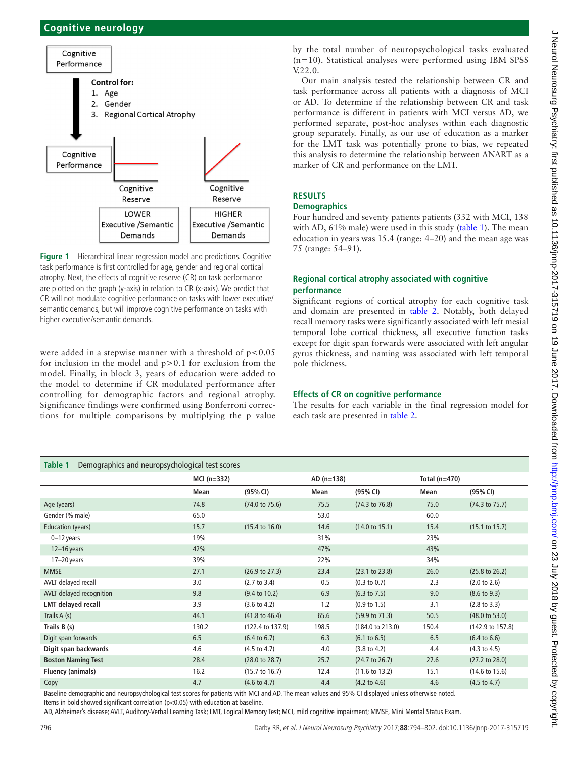## **Cognitive neurology**



<span id="page-2-0"></span>**Figure 1** Hierarchical linear regression model and predictions. Cognitive task performance is first controlled for age, gender and regional cortical atrophy. Next, the effects of cognitive reserve (CR) on task performance are plotted on the graph (y-axis) in relation to CR (x-axis). We predict that CR will not modulate cognitive performance on tasks with lower executive/ semantic demands, but will improve cognitive performance on tasks with higher executive/semantic demands.

were added in a stepwise manner with a threshold of  $p < 0.05$ for inclusion in the model and  $p > 0.1$  for exclusion from the model. Finally, in block 3, years of education were added to the model to determine if CR modulated performance after controlling for demographic factors and regional atrophy. Significance findings were confirmed using Bonferroni corrections for multiple comparisons by multiplying the p value by the total number of neuropsychological tasks evaluated (n=10). Statistical analyses were performed using IBM SPSS V.22.0.

Our main analysis tested the relationship between CR and task performance across all patients with a diagnosis of MCI or AD. To determine if the relationship between CR and task performance is different in patients with MCI versus AD, we performed separate, post-hoc analyses within each diagnostic group separately. Finally, as our use of education as a marker for the LMT task was potentially prone to bias, we repeated this analysis to determine the relationship between ANART as a marker of CR and performance on the LMT.

## **Results**

## **Demographics**

Four hundred and seventy patients patients (332 with MCI, 138 with AD, 61% male) were used in this study [\(table](#page-2-1) 1). The mean education in years was 15.4 (range: 4–20) and the mean age was 75 (range: 54–91).

## **Regional cortical atrophy associated with cognitive performance**

Significant regions of cortical atrophy for each cognitive task and domain are presented in [table](#page-3-0) 2. Notably, both delayed recall memory tasks were significantly associated with left mesial temporal lobe cortical thickness, all executive function tasks except for digit span forwards were associated with left angular gyrus thickness, and naming was associated with left temporal pole thickness.

## **Effects of CR on cognitive performance**

The results for each variable in the final regression model for each task are presented in [table](#page-3-0) 2.

<span id="page-2-1"></span>

| Table 1<br>Demographics and neuropsychological test scores |              |                             |              |                             |                 |                           |
|------------------------------------------------------------|--------------|-----------------------------|--------------|-----------------------------|-----------------|---------------------------|
|                                                            | $MCI(n=332)$ |                             | $AD (n=138)$ |                             | Total $(n=470)$ |                           |
|                                                            | Mean         | (95% CI)                    | Mean         | (95% CI)                    | Mean            | (95% CI)                  |
| Age (years)                                                | 74.8         | $(74.0 \text{ to } 75.6)$   | 75.5         | $(74.3 \text{ to } 76.8)$   | 75.0            | $(74.3 \text{ to } 75.7)$ |
| Gender (% male)                                            | 65.0         |                             | 53.0         |                             | 60.0            |                           |
| Education (years)                                          | 15.7         | $(15.4 \text{ to } 16.0)$   | 14.6         | $(14.0 \text{ to } 15.1)$   | 15.4            | $(15.1 \text{ to } 15.7)$ |
| $0 - 12$ years                                             | 19%          |                             | 31%          |                             | 23%             |                           |
| $12-16$ years                                              | 42%          |                             | 47%          |                             | 43%             |                           |
| $17 - 20$ years                                            | 39%          |                             | 22%          |                             | 34%             |                           |
| <b>MMSE</b>                                                | 27.1         | $(26.9 \text{ to } 27.3)$   | 23.4         | (23.1 to 23.8)              | 26.0            | $(25.8 \text{ to } 26.2)$ |
| AVLT delayed recall                                        | 3.0          | $(2.7 \text{ to } 3.4)$     | 0.5          | $(0.3 \text{ to } 0.7)$     | 2.3             | (2.0 to 2.6)              |
| <b>AVLT</b> delayed recognition                            | 9.8          | $(9.4 \text{ to } 10.2)$    | 6.9          | $(6.3 \text{ to } 7.5)$     | 9.0             | $(8.6 \text{ to } 9.3)$   |
| <b>LMT</b> delayed recall                                  | 3.9          | $(3.6 \text{ to } 4.2)$     | 1.2          | $(0.9 \text{ to } 1.5)$     | 3.1             | $(2.8 \text{ to } 3.3)$   |
| Trails A (s)                                               | 44.1         | $(41.8 \text{ to } 46.4)$   | 65.6         | $(59.9 \text{ to } 71.3)$   | 50.5            | $(48.0 \text{ to } 53.0)$ |
| Trails B (s)                                               | 130.2        | $(122.4 \text{ to } 137.9)$ | 198.5        | $(184.0 \text{ to } 213.0)$ | 150.4           | (142.9 to 157.8)          |
| Digit span forwards                                        | 6.5          | $(6.4 \text{ to } 6.7)$     | 6.3          | $(6.1 \text{ to } 6.5)$     | 6.5             | $(6.4 \text{ to } 6.6)$   |
| Digit span backwards                                       | 4.6          | $(4.5 \text{ to } 4.7)$     | 4.0          | $(3.8 \text{ to } 4.2)$     | 4.4             | $(4.3 \text{ to } 4.5)$   |
| <b>Boston Naming Test</b>                                  | 28.4         | $(28.0 \text{ to } 28.7)$   | 25.7         | $(24.7 \text{ to } 26.7)$   | 27.6            | $(27.2 \text{ to } 28.0)$ |
| <b>Fluency (animals)</b>                                   | 16.2         | $(15.7 \text{ to } 16.7)$   | 12.4         | $(11.6 \text{ to } 13.2)$   | 15.1            | $(14.6 \text{ to } 15.6)$ |
| Copy                                                       | 4.7          | $(4.6 \text{ to } 4.7)$     | 4.4          | $(4.2 \text{ to } 4.6)$     | 4.6             | $(4.5 \text{ to } 4.7)$   |

Baseline demographic and neuropsychological test scores for patients with MCI and AD. The mean values and 95% CI displayed unless otherwise noted. Items in bold showed significant correlation (p<0.05) with education at baseline.

AD, Alzheimer's disease; AVLT, Auditory-Verbal Learning Task; LMT, Logical Memory Test; MCI, mild cognitive impairment; MMSE, Mini Mental Status Exam.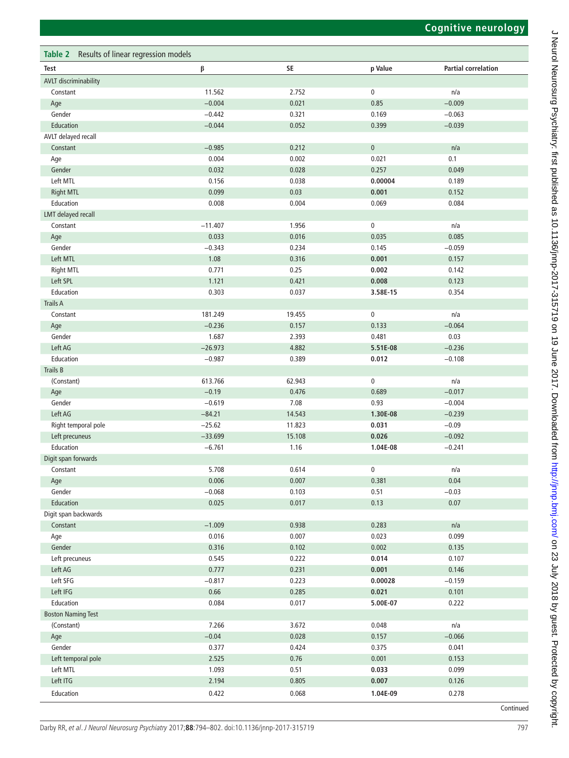<span id="page-3-0"></span>

|                                             |                      |               |               | <b>Cognitive neurology</b> |
|---------------------------------------------|----------------------|---------------|---------------|----------------------------|
| Table 2 Results of linear regression models |                      |               |               |                            |
| Test                                        | $\boldsymbol{\beta}$ | SE            | p Value       | <b>Partial correlation</b> |
| <b>AVLT</b> discriminability                |                      |               |               |                            |
| Constant                                    | 11.562               | 2.752         | 0             | n/a                        |
| Age                                         | $-0.004$             | 0.021         | 0.85          | $-0.009$                   |
| Gender                                      | $-0.442$             | 0.321         | 0.169         | $-0.063$                   |
| Education                                   | $-0.044$             | 0.052         | 0.399         | $-0.039$                   |
| AVLT delayed recall                         |                      |               |               |                            |
| Constant                                    | $-0.985$             | 0.212         | $\pmb{0}$     | n/a                        |
| Age                                         | 0.004                | 0.002         | 0.021         | 0.1                        |
| Gender                                      | 0.032                | 0.028         | 0.257         | 0.049                      |
| Left MTL                                    | 0.156                | 0.038         | 0.00004       | 0.189                      |
| <b>Right MTL</b>                            | 0.099                | 0.03          | 0.001         | 0.152                      |
| Education                                   | 0.008                | 0.004         | 0.069         | 0.084                      |
| <b>LMT</b> delayed recall                   |                      |               |               |                            |
| Constant                                    | $-11.407$            | 1.956         | $\pmb{0}$     | n/a                        |
| Age                                         | 0.033                | 0.016         | 0.035         | 0.085                      |
| Gender                                      | $-0.343$             | 0.234         | 0.145         | $-0.059$                   |
| Left MTL                                    | 1.08                 | 0.316         | 0.001         | 0.157                      |
| <b>Right MTL</b>                            | 0.771                | 0.25          | 0.002         | 0.142                      |
| Left SPL                                    | 1.121                | 0.421         | 0.008         | 0.123                      |
| Education                                   | 0.303                | 0.037         | 3.58E-15      | 0.354                      |
| <b>Trails A</b>                             |                      |               |               |                            |
| Constant                                    | 181.249              | 19.455        | $\pmb{0}$     | n/a                        |
| Age                                         | $-0.236$             | 0.157         | 0.133         | $-0.064$                   |
| Gender                                      | 1.687                | 2.393         | 0.481         | 0.03                       |
| Left AG                                     | $-26.973$            | 4.882         | 5.51E-08      | $-0.236$                   |
| Education                                   | $-0.987$             | 0.389         | 0.012         | $-0.108$                   |
| <b>Trails B</b>                             |                      |               |               |                            |
|                                             |                      |               |               | n/a                        |
| (Constant)                                  | 613.766              | 62.943        | 0             |                            |
| Age<br>Gender                               | $-0.19$<br>$-0.619$  | 0.476<br>7.08 | 0.689<br>0.93 | $-0.017$<br>$-0.004$       |
|                                             |                      |               |               |                            |
| Left AG                                     | $-84.21$             | 14.543        | 1.30E-08      | $-0.239$                   |
| Right temporal pole                         | $-25.62$             | 11.823        | 0.031         | $-0.09$                    |
| Left precuneus                              | $-33.699$            | 15.108        | 0.026         | $-0.092$                   |
| Education                                   | $-6.761$             | 1.16          | 1.04E-08      | $-0.241$                   |
| Digit span forwards                         |                      |               |               |                            |
| Constant                                    | 5.708                | 0.614         | 0             | n/a                        |
| Age                                         | 0.006                | 0.007         | 0.381         | 0.04                       |
| Gender                                      | $-0.068$             | 0.103         | 0.51          | $-0.03$                    |
| Education                                   | 0.025                | 0.017         | 0.13          | 0.07                       |
| Digit span backwards                        |                      |               |               |                            |
| Constant                                    | $-1.009$             | 0.938         | 0.283         | n/a                        |
| Age                                         | 0.016                | 0.007         | 0.023         | 0.099                      |
| Gender                                      | 0.316                | 0.102         | 0.002         | 0.135                      |
| Left precuneus                              | 0.545                | 0.222         | 0.014         | 0.107                      |
| Left AG                                     | 0.777                | 0.231         | 0.001         | 0.146                      |
| Left SFG                                    | $-0.817$             | 0.223         | 0.00028       | $-0.159$                   |
| Left IFG                                    | 0.66                 | 0.285         | 0.021         | 0.101                      |
| Education                                   | 0.084                | 0.017         | 5.00E-07      | 0.222                      |
| <b>Boston Naming Test</b>                   |                      |               |               |                            |
| (Constant)                                  | 7.266                | 3.672         | 0.048         | n/a                        |
| Age                                         | $-0.04$              | 0.028         | 0.157         | $-0.066$                   |
| Gender                                      | 0.377                | 0.424         | 0.375         | 0.041                      |
| Left temporal pole                          | 2.525                | 0.76          | 0.001         | 0.153                      |
| Left MTL                                    | 1.093                | 0.51          | 0.033         | 0.099                      |
| Left ITG                                    | 2.194                | 0.805         | 0.007         | 0.126                      |
|                                             |                      |               |               | 0.278                      |
| Education                                   | 0.422                | 0.068         | 1.04E-09      |                            |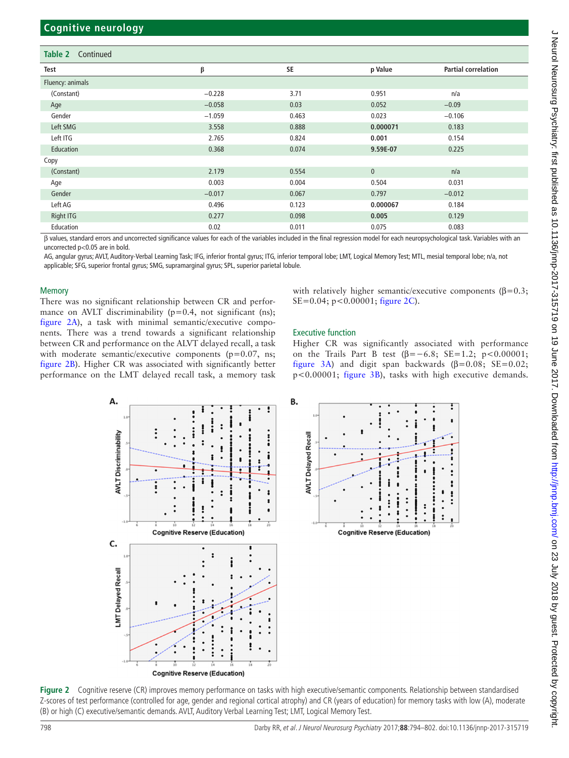| Table 2<br>Continued |          |       |              |                            |  |
|----------------------|----------|-------|--------------|----------------------------|--|
| Test                 | β        | SE    | p Value      | <b>Partial correlation</b> |  |
| Fluency: animals     |          |       |              |                            |  |
| (Constant)           | $-0.228$ | 3.71  | 0.951        | n/a                        |  |
| Age                  | $-0.058$ | 0.03  | 0.052        | $-0.09$                    |  |
| Gender               | $-1.059$ | 0.463 | 0.023        | $-0.106$                   |  |
| Left SMG             | 3.558    | 0.888 | 0.000071     | 0.183                      |  |
| Left ITG             | 2.765    | 0.824 | 0.001        | 0.154                      |  |
| Education            | 0.368    | 0.074 | 9.59E-07     | 0.225                      |  |
| Copy                 |          |       |              |                            |  |
| (Constant)           | 2.179    | 0.554 | $\mathbf{0}$ | n/a                        |  |
| Age                  | 0.003    | 0.004 | 0.504        | 0.031                      |  |
| Gender               | $-0.017$ | 0.067 | 0.797        | $-0.012$                   |  |
| Left AG              | 0.496    | 0.123 | 0.000067     | 0.184                      |  |
| Right ITG            | 0.277    | 0.098 | 0.005        | 0.129                      |  |
| Education            | 0.02     | 0.011 | 0.075        | 0.083                      |  |

β values, standard errors and uncorrected significance values for each of the variables included in the final regression model for each neuropsychological task. Variables with an uncorrected p<0.05 are in bold.

AG, angular gyrus; AVLT, Auditory-Verbal Learning Task; IFG, inferior frontal gyrus; ITG, inferior temporal lobe; LMT, Logical Memory Test; MTL, mesial temporal lobe; n/a, not applicable; SFG, superior frontal gyrus; SMG, supramarginal gyrus; SPL, superior parietal lobule.

#### **Memory**

There was no significant relationship between CR and performance on AVLT discriminability ( $p=0.4$ , not significant (ns); [figure](#page-4-0) 2A), a task with minimal semantic/executive components. There was a trend towards a significant relationship between CR and performance on the ALVT delayed recall, a task with moderate semantic/executive components ( $p=0.07$ , ns; [figure](#page-4-0) 2B). Higher CR was associated with significantly better performance on the LMT delayed recall task, a memory task

with relatively higher semantic/executive components ( $\beta$ =0.3; SE=0.04; p<0.00001; [figure](#page-4-0) 2C).

### Executive function

Higher CR was significantly associated with performance on the Trails Part B test ( $\beta = -6.8$ ; SE=1.2; p<0.00001; [figure](#page-5-0) 3A) and digit span backwards ( $\beta$ =0.08; SE=0.02; p<0.00001; [figure](#page-5-0) 3B), tasks with high executive demands.



<span id="page-4-0"></span>**Figure 2** Cognitive reserve (CR) improves memory performance on tasks with high executive/semantic components. Relationship between standardised Z-scores of test performance (controlled for age, gender and regional cortical atrophy) and CR (years of education) for memory tasks with low (A), moderate (B) or high (C) executive/semantic demands. AVLT, Auditory Verbal Learning Test; LMT, Logical Memory Test.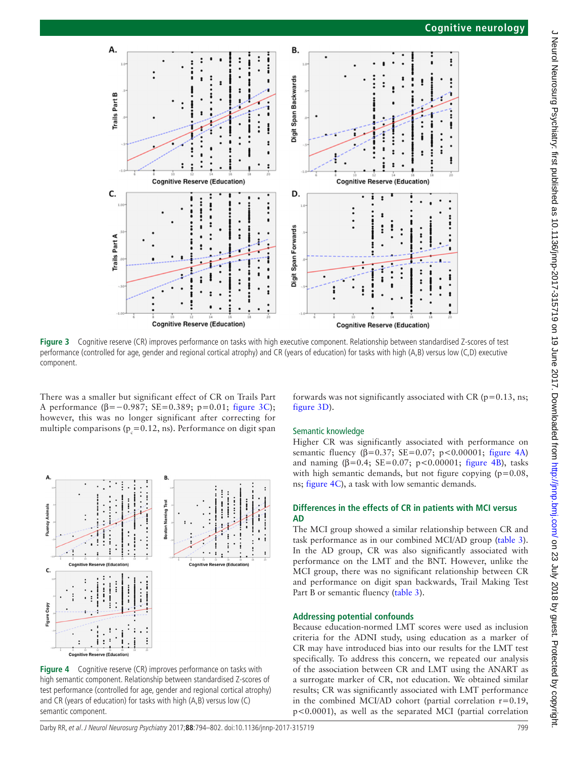

<span id="page-5-0"></span>Figure 3 Cognitive reserve (CR) improves performance on tasks with high executive component. Relationship between standardised Z-scores of test performance (controlled for age, gender and regional cortical atrophy) and CR (years of education) for tasks with high (A,B) versus low (C,D) executive component.

There was a smaller but significant effect of CR on Trails Part A performance ( $β=-0.987$ ; SE=0.389; p=0.01; [figure](#page-5-0) 3C); however, this was no longer significant after correcting for multiple comparisons ( $p_c$ =0.12, ns). Performance on digit span



<span id="page-5-1"></span>**Figure 4** Cognitive reserve (CR) improves performance on tasks with high semantic component. Relationship between standardised Z-scores of test performance (controlled for age, gender and regional cortical atrophy) and CR (years of education) for tasks with high (A,B) versus low (C) semantic component.

forwards was not significantly associated with CR ( $p=0.13$ , ns; [figure](#page-5-0) 3D).

#### Semantic knowledge

Higher CR was significantly associated with performance on semantic fluency  $(\beta = 0.37; SE = 0.07; p < 0.00001; figure 4A)$  $(\beta = 0.37; SE = 0.07; p < 0.00001; figure 4A)$  $(\beta = 0.37; SE = 0.07; p < 0.00001; figure 4A)$ and naming  $(\beta = 0.4; SE = 0.07; p < 0.00001; figure 4B)$  $(\beta = 0.4; SE = 0.07; p < 0.00001; figure 4B)$  $(\beta = 0.4; SE = 0.07; p < 0.00001; figure 4B)$ , tasks with high semantic demands, but not figure copying (p=0.08, ns; [figure](#page-5-1) 4C), a task with low semantic demands.

#### **Differences in the effects of CR in patients with MCI versus AD**

The MCI group showed a similar relationship between CR and task performance as in our combined MCI/AD group [\(table](#page-6-0) 3). In the AD group, CR was also significantly associated with performance on the LMT and the BNT. However, unlike the MCI group, there was no significant relationship between CR and performance on digit span backwards, Trail Making Test Part B or semantic fluency [\(table](#page-6-0) 3).

#### **Addressing potential confounds**

Because education-normed LMT scores were used as inclusion criteria for the ADNI study, using education as a marker of CR may have introduced bias into our results for the LMT test specifically. To address this concern, we repeated our analysis of the association between CR and LMT using the ANART as a surrogate marker of CR, not education. We obtained similar results; CR was significantly associated with LMT performance in the combined MCI/AD cohort (partial correlation r=0.19, p<0.0001), as well as the separated MCI (partial correlation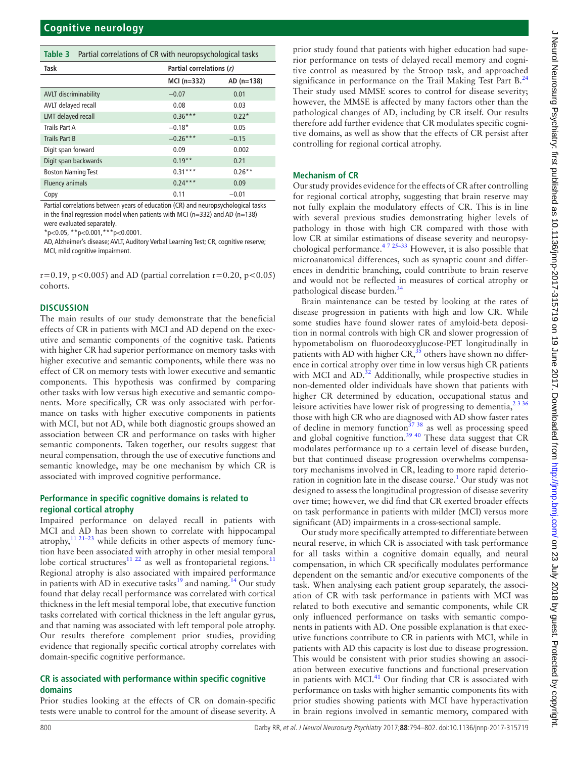<span id="page-6-0"></span>

| Table 3<br>Partial correlations of CR with neuropsychological tasks |                          |              |  |  |
|---------------------------------------------------------------------|--------------------------|--------------|--|--|
| Task                                                                | Partial correlations (r) |              |  |  |
|                                                                     | $MCI(n=332)$             | $AD (n=138)$ |  |  |
| <b>AVLT</b> discriminability                                        | $-0.07$                  | 0.01         |  |  |
| AVLT delayed recall                                                 | 0.08                     | 0.03         |  |  |
| LMT delayed recall                                                  | $0.36***$                | $0.22*$      |  |  |
| Trails Part A                                                       | $-0.18*$                 | 0.05         |  |  |
| Trails Part B                                                       | $-0.26***$               | $-0.15$      |  |  |
| Digit span forward                                                  | 0.09                     | 0.002        |  |  |
| Digit span backwards                                                | $0.19**$                 | 0.21         |  |  |
| <b>Boston Naming Test</b>                                           | $0.31***$                | $0.26**$     |  |  |
| <b>Fluency animals</b>                                              | $0.24***$                | 0.09         |  |  |
| Copy                                                                | 0.11                     | $-0.01$      |  |  |

Partial correlations between years of education (CR) and neuropsychological tasks in the final regression model when patients with MCI (n=332) and AD (n=138) were evaluated separately.

\*p<0.05, \*\*p<0.001,\*\*\*p<0.0001.

AD, Alzheimer's disease; AVLT, Auditory Verbal Learning Test; CR, cognitive reserve; MCI, mild cognitive impairment.

 $r=0.19$ ,  $p<0.005$ ) and AD (partial correlation  $r=0.20$ ,  $p<0.05$ ) cohorts.

#### **Discussion**

The main results of our study demonstrate that the beneficial effects of CR in patients with MCI and AD depend on the executive and semantic components of the cognitive task. Patients with higher CR had superior performance on memory tasks with higher executive and semantic components, while there was no effect of CR on memory tests with lower executive and semantic components. This hypothesis was confirmed by comparing other tasks with low versus high executive and semantic components. More specifically, CR was only associated with performance on tasks with higher executive components in patients with MCI, but not AD, while both diagnostic groups showed an association between CR and performance on tasks with higher semantic components. Taken together, our results suggest that neural compensation, through the use of executive functions and semantic knowledge, may be one mechanism by which CR is associated with improved cognitive performance.

#### **Performance in specific cognitive domains is related to regional cortical atrophy**

Impaired performance on delayed recall in patients with MCI and AD has been shown to correlate with hippocampal atrophy, $11 \times 21 - 23$  while deficits in other aspects of memory function have been associated with atrophy in other mesial temporal lobe cortical structures<sup>[11 22](#page-8-2)</sup> as well as frontoparietal regions.<sup>[11](#page-8-2)</sup> Regional atrophy is also associated with impaired performance in patients with AD in executive tasks $^{19}$  and naming.<sup>14</sup> Our study found that delay recall performance was correlated with cortical thickness in the left mesial temporal lobe, that executive function tasks correlated with cortical thickness in the left angular gyrus, and that naming was associated with left temporal pole atrophy. Our results therefore complement prior studies, providing evidence that regionally specific cortical atrophy correlates with domain-specific cognitive performance.

#### **CR is associated with performance within specific cognitive domains**

Prior studies looking at the effects of CR on domain-specific tests were unable to control for the amount of disease severity. A

prior study found that patients with higher education had superior performance on tests of delayed recall memory and cognitive control as measured by the Stroop task, and approached significance in performance on the Trail Making Test Part B. $^{24}$  $^{24}$  $^{24}$ Their study used MMSE scores to control for disease severity; however, the MMSE is affected by many factors other than the pathological changes of AD, including by CR itself. Our results therefore add further evidence that CR modulates specific cognitive domains, as well as show that the effects of CR persist after controlling for regional cortical atrophy.

#### **Mechanism of CR**

Our study provides evidence for the effects of CR after controlling for regional cortical atrophy, suggesting that brain reserve may not fully explain the modulatory effects of CR. This is in line with several previous studies demonstrating higher levels of pathology in those with high CR compared with those with low CR at similar estimations of disease severity and neuropsychological performance.<sup>4725-33</sup> However, it is also possible that microanatomical differences, such as synaptic count and differences in dendritic branching, could contribute to brain reserve and would not be reflected in measures of cortical atrophy or pathological disease burden.<sup>[34](#page-8-10)</sup>

Brain maintenance can be tested by looking at the rates of disease progression in patients with high and low CR. While some studies have found slower rates of amyloid-beta deposition in normal controls with high CR and slower progression of hypometabolism on fluorodeoxyglucose-PET longitudinally in patients with AD with higher  $CR$ ,<sup>35</sup> others have shown no difference in cortical atrophy over time in low versus high CR patients with MCI and  $AD<sup>32</sup>$  Additionally, while prospective studies in non-demented older individuals have shown that patients with higher CR determined by education, occupational status and leisure activities have lower risk of progressing to dementia,  $2^{336}$ those with high CR who are diagnosed with AD show faster rates of decline in memory function $3738$  as well as processing speed and global cognitive function.<sup>39 40</sup> These data suggest that CR modulates performance up to a certain level of disease burden, but that continued disease progression overwhelms compensatory mechanisms involved in CR, leading to more rapid deterioration in cognition late in the disease course.<sup>1</sup> Our study was not designed to assess the longitudinal progression of disease severity over time; however, we did find that CR exerted broader effects on task performance in patients with milder (MCI) versus more significant (AD) impairments in a cross-sectional sample.

Our study more specifically attempted to differentiate between neural reserve, in which CR is associated with task performance for all tasks within a cognitive domain equally, and neural compensation, in which CR specifically modulates performance dependent on the semantic and/or executive components of the task. When analysing each patient group separately, the association of CR with task performance in patients with MCI was related to both executive and semantic components, while CR only influenced performance on tasks with semantic components in patients with AD. One possible explanation is that executive functions contribute to CR in patients with MCI, while in patients with AD this capacity is lost due to disease progression. This would be consistent with prior studies showing an association between executive functions and functional preservation in patients with MCI. $41$  Our finding that CR is associated with performance on tasks with higher semantic components fits with prior studies showing patients with MCI have hyperactivation in brain regions involved in semantic memory, compared with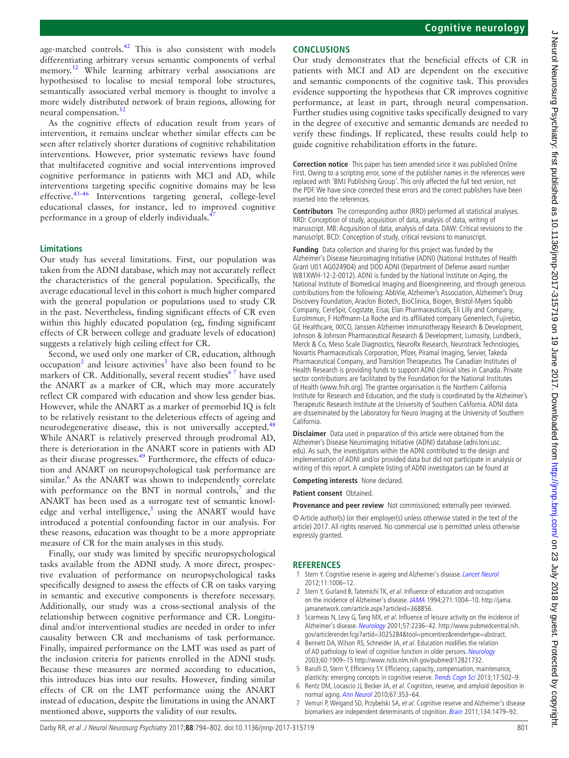age-matched controls.[42](#page-8-16) This is also consistent with models differentiating arbitrary versus semantic components of verbal memory.<sup>[12](#page-8-3)</sup> While learning arbitrary verbal associations are hypothesised to localise to mesial temporal lobe structures, semantically associated verbal memory is thought to involve a more widely distributed network of brain regions, allowing for neural compensation.<sup>[12](#page-8-3)</sup>

As the cognitive effects of education result from years of intervention, it remains unclear whether similar effects can be seen after relatively shorter durations of cognitive rehabilitation interventions. However, prior systematic reviews have found that multifaceted cognitive and social interventions improved cognitive performance in patients with MCI and AD, while interventions targeting specific cognitive domains may be less effective.<sup>[43–46](#page-8-17)</sup> Interventions targeting general, college-level educational classes, for instance, led to improved cognitive performance in a group of elderly individuals.<sup>47</sup>

#### **Limitations**

Our study has several limitations. First, our population was taken from the ADNI database, which may not accurately reflect the characteristics of the general population. Specifically, the average educational level in this cohort is much higher compared with the general population or populations used to study CR in the past. Nevertheless, finding significant effects of CR even within this highly educated population (eg, finding significant effects of CR between college and graduate levels of education) suggests a relatively high ceiling effect for CR.

Second, we used only one marker of CR, education, although occupation<sup>[2](#page-7-1)</sup> and leisure activities<sup>3</sup> have also been found to be markers of CR. Additionally, several recent studies<sup>67</sup> have used the ANART as a marker of CR, which may more accurately reflect CR compared with education and show less gender bias. However, while the ANART as a marker of premorbid IQ is felt to be relatively resistant to the deleterious effects of ageing and neurodegenerative disease, this is not universally accepted.<sup>[48](#page-8-19)</sup> While ANART is relatively preserved through prodromal AD, there is deterioration in the ANART score in patients with AD as their disease progresses.<sup>[49](#page-8-20)</sup> Furthermore, the effects of education and ANART on neuropsychological task performance are similar.<sup>[6](#page-7-4)</sup> As the ANART was shown to independently correlate with performance on the BNT in normal controls, $\bar{y}$  and the ANART has been used as a surrogate test of semantic knowledge and verbal intelligence, $5$  using the ANART would have introduced a potential confounding factor in our analysis. For these reasons, education was thought to be a more appropriate measure of CR for the main analyses in this study.

Finally, our study was limited by specific neuropsychological tasks available from the ADNI study. A more direct, prospective evaluation of performance on neuropsychological tasks specifically designed to assess the effects of CR on tasks varying in semantic and executive components is therefore necessary. Additionally, our study was a cross-sectional analysis of the relationship between cognitive performance and CR. Longitudinal and/or interventional studies are needed in order to infer causality between CR and mechanisms of task performance. Finally, impaired performance on the LMT was used as part of the inclusion criteria for patients enrolled in the ADNI study. Because these measures are normed according to education, this introduces bias into our results. However, finding similar effects of CR on the LMT performance using the ANART instead of education, despite the limitations in using the ANART mentioned above, supports the validity of our results.

## **Conclusions**

Our study demonstrates that the beneficial effects of CR in patients with MCI and AD are dependent on the executive and semantic components of the cognitive task. This provides evidence supporting the hypothesis that CR improves cognitive performance, at least in part, through neural compensation. Further studies using cognitive tasks specifically designed to vary in the degree of executive and semantic demands are needed to verify these findings. If replicated, these results could help to guide cognitive rehabilitation efforts in the future.

**Correction notice** This paper has been amended since it was published Online First. Owing to a scripting error, some of the publisher names in the references were replaced with 'BMJ Publishing Group'. This only affected the full text version, not the PDF. We have since corrected these errors and the correct publishers have been inserted into the references.

**Contributors** The corresponding author (RRD) performed all statistical analyses. RRD: Conception of study, acquisition of data, analysis of data, writing of manuscript. MB: Acquisition of data, analysis of data. DAW: Critical revisions to the manuscript. BCD: Conception of study, critical revisions to manuscript.

**Funding** Data collection and sharing for this project was funded by the Alzheimer's Disease Neuroimaging Initiative (ADNI) (National Institutes of Health Grant U01 AG024904) and DOD ADNI (Department of Defense award number W81XWH-12-2-0012). ADNI is funded by the National Institute on Aging, the National Institute of Biomedical Imaging and Bioengineering, and through generous contributions from the following: AbbVie, Alzheimer's Association, Alzheimer's Drug Discovery Foundation, Araclon Biotech, BioClinica, Biogen, Bristol-Myers Squibb Company, CereSpir, Cogstate, Eisai, Elan Pharmaceuticals, Eli Lilly and Company, EuroImmun, F Hoffmann-La Roche and its affiliated company Genentech, Fujirebio, GE Healthcare, IXICO, Janssen Alzheimer Immunotherapy Research & Development, Johnson & Johnson Pharmaceutical Research & Development, Lumosity, Lundbeck, Merck & Co, Meso Scale Diagnostics, NeuroRx Research, Neurotrack Technologies, Novartis Pharmaceuticals Corporation, Pfizer, Piramal Imaging, Servier, Takeda Pharmaceutical Company, and Transition Therapeutics. The Canadian Institutes of Health Research is providing funds to support ADNI clinical sites in Canada. Private sector contributions are facilitated by the Foundation for the National Institutes of Health (www.fnih.org). The grantee organisation is the Northern California Institute for Research and Education, and the study is coordinated by the Alzheimer's Therapeutic Research Institute at the University of Southern California. ADNI data are disseminated by the Laboratory for Neuro Imaging at the University of Southern California.

**Disclaimer** Data used in preparation of this article were obtained from the Alzheimer's Disease Neuroimaging Initiative (ADNI) database (adni.loni.usc. edu). As such, the investigators within the ADNI contributed to the design and implementation of ADNI and/or provided data but did not participate in analysis or writing of this report. A complete listing of ADNI investigators can be found at

**Competing interests** None declared.

**Patient consent** Obtained.

**Provenance and peer review** Not commissioned; externally peer reviewed.

© Article author(s) (or their employer(s) unless otherwise stated in the text of the article) 2017. All rights reserved. No commercial use is permitted unless otherwise expressly granted.

#### **References**

- <span id="page-7-0"></span>1 Stern Y. Cognitive reserve in ageing and Alzheimer's disease. [Lancet Neurol](http://dx.doi.org/10.1016/S1474-4422(12)70191-6) 2012;11:1006–12.
- <span id="page-7-1"></span>2 Stern Y, Gurland B, Tatemichi TK, et al. Influence of education and occupation on the incidence of Alzheimer's disease. JAMA 1994;271:1004–10. [http://jama.](http://jama.jamanetwork.com/article.aspx?articleid=368856) [jamanetwork.com/article.aspx?articleid=368856.](http://jama.jamanetwork.com/article.aspx?articleid=368856)
- <span id="page-7-6"></span>3 Scarmeas N, Levy G, Tang MX, et al. Influence of leisure activity on the incidence of Alzheimer's disease. [Neurology](http://dx.doi.org/10.1212/WNL.57.12.2236) 2001;57:2236–42. [http://www.pubmedcentral.nih.](http://www.pubmedcentral.nih.gov/articlerender.fcgi?artid=3025284&tool=pmcentrez&rendertype=abstract) [gov/articlerender.fcgi?artid=3025284&tool=pmcentrez&rendertype=abstract.](http://www.pubmedcentral.nih.gov/articlerender.fcgi?artid=3025284&tool=pmcentrez&rendertype=abstract)
- <span id="page-7-2"></span>4 Bennett DA, Wilson RS, Schneider JA, et al. Education modifies the relation of AD pathology to level of cognitive function in older persons. [Neurology](http://dx.doi.org/10.1212/01.WNL.0000069923.64550.9F) 2003;60:1909–15 <http://www.ncbi.nlm.nih.gov/pubmed/12821732>.
- <span id="page-7-3"></span>5 Barulli D, Stern Y, Efficiency SY. Efficiency, capacity, compensation, maintenance,
- <span id="page-7-4"></span>plasticity: emerging concepts in cognitive reserve. [Trends Cogn Sci](http://dx.doi.org/10.1016/j.tics.2013.08.012) 2013;17:502–9. 6 Rentz DM, Locascio JJ, Becker JA, et al. Cognition, reserve, and amyloid deposition in
- <span id="page-7-5"></span>normal aging. [Ann Neurol](http://dx.doi.org/10.1002/ana.21904) 2010;67:353–64. 7 Vemuri P, Weigand SD, Przybelski SA, et al. Cognitive reserve and Alzheimer's disease biomarkers are independent determinants of cognition. [Brain](http://dx.doi.org/10.1093/brain/awr049) 2011;134:1479-92.